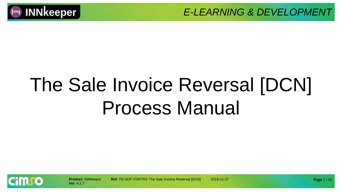

# The Sale Invoice Reversal [DCN] Process Manual

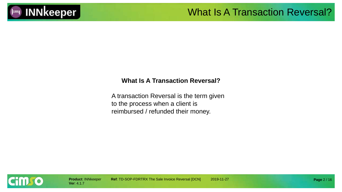

#### What Is A Transaction Reversal?

#### **What Is A Transaction Reversal?**

A transaction Reversal is the term given to the process when a client is reimbursed / refunded their money.

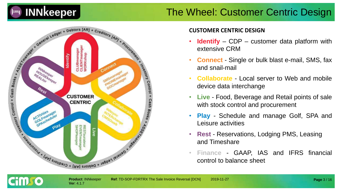

#### The Wheel: Customer Centric Design



#### **CUSTOMER CENTRIC DESIGN**

- **Identify** CDP customer data platform with extensive CRM
- **Connect** Single or bulk blast e-mail, SMS, fax and snail-mail
- **Collaborate** Local server to Web and mobile device data interchange
- **Live** Food, Beverage and Retail points of sale with stock control and procurement
- **Play** Schedule and manage Golf, SPA and Leisure activities
- **Rest** Reservations, Lodging PMS, Leasing and Timeshare
- **Finance** GAAP, IAS and IFRS financial control to balance sheet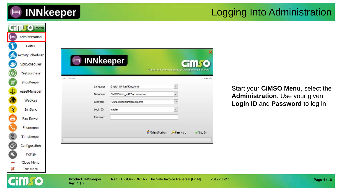

#### Logging Into Administration

|                      | <b>CHILLIO</b> Menu |                                         |                                                                 |                                                        |            |                                   |             |
|----------------------|---------------------|-----------------------------------------|-----------------------------------------------------------------|--------------------------------------------------------|------------|-----------------------------------|-------------|
| (  - 1               | Administration      |                                         |                                                                 |                                                        |            |                                   |             |
|                      | Golfer              |                                         |                                                                 |                                                        |            |                                   |             |
| CO                   | ActivityScheduler   |                                         |                                                                 |                                                        |            |                                   |             |
| S.                   | SpaScheduler        | $\vdash$                                | <b>INNkeeper</b>                                                | <b>Cimro</b>                                           |            |                                   |             |
| Ø                    | Restaurateur        |                                         |                                                                 | <b>Customer Centric Integrated Management Software</b> |            |                                   |             |
| .W                   | ShopKeeper          | V4.1.7b11143                            |                                                                 |                                                        | 8d647da    |                                   |             |
| Φ                    | AssetManager        | Language                                | English (United Kingdom)                                        | $\checkmark$                                           |            | Start your CiMSO Menu, select the |             |
| C                    | WebRes              | Database                                | CIMSODemo_V417 on vmserver<br><b>MAIN Imperial Palace Rooms</b> | $\checkmark$                                           |            | Administration. Use your given    |             |
|                      | InnSync             | Location<br>Login ID                    | master                                                          |                                                        |            | Login ID and Password to log in   |             |
| E E                  | Fax Server          | Password                                |                                                                 |                                                        |            |                                   |             |
|                      |                     |                                         |                                                                 |                                                        |            |                                   |             |
|                      | Phoneman            |                                         |                                                                 | <b>S</b> DIdentification<br>Password                   | √ Log In   |                                   |             |
| 8                    | TimeKeeper          |                                         |                                                                 |                                                        |            |                                   |             |
| $\mathbf{G}^{\circ}$ | Configuration       |                                         |                                                                 |                                                        |            |                                   |             |
|                      | <b>EXEUP</b>        |                                         |                                                                 |                                                        |            |                                   |             |
|                      | Close Menu          |                                         |                                                                 |                                                        |            |                                   |             |
| X                    | Exit Menu           |                                         |                                                                 |                                                        |            |                                   |             |
|                      |                     | <b>Product: INNkeeper</b><br>Ver: 4.1.7 | Ref: TD-SOP-FDRTRX The Sale Invoice Reversal [DCN]              |                                                        | 2019-11-27 |                                   | Page 4 / 16 |
|                      |                     |                                         |                                                                 |                                                        |            |                                   |             |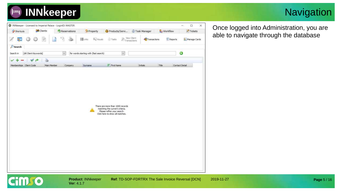

#### **Navigation**



Once logged into Administration, you are able to navigate through the database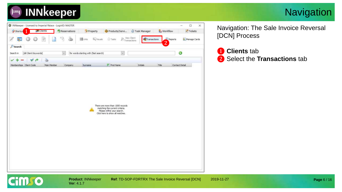

#### **Navigation**



**Ver**: 4.1.7

Navigation: The Sale Invoice Reversal [DCN] Process

❶ **Clients** tab ❷ Select the **Transactions** tab

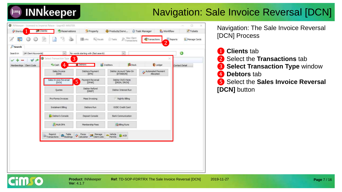## **INNkeeper**

## Navigation: Sale Invoice Reversal [DCN]

| <b>Shortcu</b>                     | <b>SR</b> Clients<br>Reservations              | * Property                                    | Products/Servi                              | Task Manager<br>& Workflow      | $\triangleright$ Tickets          |
|------------------------------------|------------------------------------------------|-----------------------------------------------|---------------------------------------------|---------------------------------|-----------------------------------|
|                                    | 9<br>$\mathcal{Z}$<br>œ                        | <b>B</b> urks<br><b>Ely</b> Visuals           | View Client<br>Transactions<br><b>Tasks</b> | Transactions<br>$\overline{2}$  | Reports<br><b>A. Manage Cards</b> |
| Search                             |                                                |                                               |                                             |                                 |                                   |
| [All Client Keywords]<br>Search in | w.                                             | for words starting with (fast search).        | u                                           |                                 | O                                 |
| V A                                | 3<br>Select Transaction Type                   |                                               |                                             |                                 | ×                                 |
| Memberships Client Code            | $\overline{4}$<br>Cash                         | <b>Debtors</b>                                | Creditors<br>Stock                          | Ledger                          | Contact Detail                    |
|                                    | Sales Invoice<br>[DIN]                         | <b>Debtors Payment</b><br>[DPA]               | Debtor Account Take-On<br>[DTAKEON]         | Automated Payment<br>Allocation |                                   |
|                                    | Sales Invoice Reversal<br><b>DON</b>           | Payment Reversal<br>÷<br>5<br>[DPAR]          | Debtor Dt/Ct Note<br>[DRDN, DRCN]           |                                 |                                   |
|                                    | Quotes                                         | Debtor Refund<br>[DREF]                       | Debtor Interest Run                         |                                 |                                   |
|                                    | Pro-Forma Invoices                             | Mass Invoicing                                | Nightly Billing                             |                                 |                                   |
|                                    | Instalment Biling                              | Debtors Run                                   | OCBC Credit Card                            |                                 |                                   |
|                                    | Debtor's Console                               | Deposit Console                               | Bank Communication                          |                                 |                                   |
|                                    | P. Multi DPA                                   | Membership Fees                               | <b>Bling Runs</b>                           |                                 |                                   |
|                                    |                                                |                                               |                                             |                                 |                                   |
|                                    | Table<br>Reprint<br>H Bookings<br>Transactions | Forex<br>Manage<br>Client Lists<br>Calculator | vehicle<br>$-$ ACB<br><b>Permits</b>        |                                 |                                   |

Navigation: The Sale Invoice Reversal [DCN] Process

- ❶ **Clients** tab
- ❷ Select the **Transactions** tab
- ❸ **Select Transaction Type** window 4 **Debtors** tab
- ❺ Select the **Sales Invoice Reversal [DCN]** button

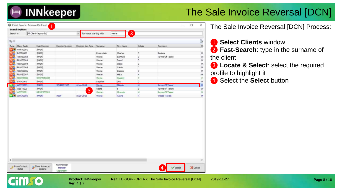

| G)<br>9230<br>Member Number<br>Initials<br>M<br>Main Member<br>Member Join Date<br>Surname<br>First Name<br>Company<br>MAIN<br>ROSE0006<br>$\subset$<br>Raubex<br>[MAIN]<br>Charles<br>M<br>Rosenstein<br>Rayne Of Talent.<br>RRWE0002<br>(MADI)<br>Samnuel<br>5<br>Dr<br>Weste<br>M<br>RRWE0003<br>D<br>[MAIN]<br>Weste<br>David<br>RRWE0004<br>Claire<br>c<br>[MAIN]<br>Weste<br>M<br>¢<br>RRWE0005<br>[MAIN]<br>Calvin<br>M<br>Weste<br>D<br>RRWE0006<br>[MAIN]<br>M<br>Weste<br>Damon<br><b>RRWE0007</b><br>Hella<br>н<br>H<br>[MAIN]<br>Weste<br>C<br>C<br>RRWE0008<br>RRWTRA0005<br>Weste.<br>Cassdy<br>D.<br>M<br>STRY0002<br>[MAIN]<br>Strydom<br>Dirk<br>WEST0003<br><b>DIABE</b><br>STMBRC2105<br>6 Jun 2018<br>Mikado<br>M<br>Rayne Of Talent<br>M<br>Weste<br>[MAIN]<br>$\overline{5}$<br>Rayne of Talent<br>WEST0020<br>$\mathbf{S}$<br>Dr<br>weste<br>3<br>WEST0021<br>M<br>Rayne Of Talent<br>M<br>RRWEST0003<br>Miranda<br>Weste<br>M<br><b>DIAIN</b><br>R<br>Weste Travels<br>the off<br>8 Apr 2019<br>Weste<br>Rayne | Search in | [All Client Keywords] | for words starting with<br>$\mathcal{M}$ | $\boxed{2}$<br>weste |  |  |
|----------------------------------------------------------------------------------------------------------------------------------------------------------------------------------------------------------------------------------------------------------------------------------------------------------------------------------------------------------------------------------------------------------------------------------------------------------------------------------------------------------------------------------------------------------------------------------------------------------------------------------------------------------------------------------------------------------------------------------------------------------------------------------------------------------------------------------------------------------------------------------------------------------------------------------------------------------------------------------------------------------------------------------------|-----------|-----------------------|------------------------------------------|----------------------|--|--|
| Type Clent Code                                                                                                                                                                                                                                                                                                                                                                                                                                                                                                                                                                                                                                                                                                                                                                                                                                                                                                                                                                                                                        |           |                       |                                          |                      |  |  |
| NWFA0001<br>n Sa<br>m S.<br><b>INTENSITY</b><br>M &<br><b>NEW WTRADOOS</b>                                                                                                                                                                                                                                                                                                                                                                                                                                                                                                                                                                                                                                                                                                                                                                                                                                                                                                                                                             |           |                       |                                          |                      |  |  |
|                                                                                                                                                                                                                                                                                                                                                                                                                                                                                                                                                                                                                                                                                                                                                                                                                                                                                                                                                                                                                                        |           |                       |                                          |                      |  |  |
|                                                                                                                                                                                                                                                                                                                                                                                                                                                                                                                                                                                                                                                                                                                                                                                                                                                                                                                                                                                                                                        |           |                       |                                          |                      |  |  |
|                                                                                                                                                                                                                                                                                                                                                                                                                                                                                                                                                                                                                                                                                                                                                                                                                                                                                                                                                                                                                                        |           |                       |                                          |                      |  |  |
|                                                                                                                                                                                                                                                                                                                                                                                                                                                                                                                                                                                                                                                                                                                                                                                                                                                                                                                                                                                                                                        |           |                       |                                          |                      |  |  |
|                                                                                                                                                                                                                                                                                                                                                                                                                                                                                                                                                                                                                                                                                                                                                                                                                                                                                                                                                                                                                                        |           |                       |                                          |                      |  |  |
|                                                                                                                                                                                                                                                                                                                                                                                                                                                                                                                                                                                                                                                                                                                                                                                                                                                                                                                                                                                                                                        |           |                       |                                          |                      |  |  |
|                                                                                                                                                                                                                                                                                                                                                                                                                                                                                                                                                                                                                                                                                                                                                                                                                                                                                                                                                                                                                                        |           |                       |                                          |                      |  |  |
|                                                                                                                                                                                                                                                                                                                                                                                                                                                                                                                                                                                                                                                                                                                                                                                                                                                                                                                                                                                                                                        |           |                       |                                          |                      |  |  |
|                                                                                                                                                                                                                                                                                                                                                                                                                                                                                                                                                                                                                                                                                                                                                                                                                                                                                                                                                                                                                                        |           |                       |                                          |                      |  |  |
|                                                                                                                                                                                                                                                                                                                                                                                                                                                                                                                                                                                                                                                                                                                                                                                                                                                                                                                                                                                                                                        |           |                       |                                          |                      |  |  |
|                                                                                                                                                                                                                                                                                                                                                                                                                                                                                                                                                                                                                                                                                                                                                                                                                                                                                                                                                                                                                                        |           |                       |                                          |                      |  |  |
|                                                                                                                                                                                                                                                                                                                                                                                                                                                                                                                                                                                                                                                                                                                                                                                                                                                                                                                                                                                                                                        |           |                       |                                          |                      |  |  |
|                                                                                                                                                                                                                                                                                                                                                                                                                                                                                                                                                                                                                                                                                                                                                                                                                                                                                                                                                                                                                                        |           |                       |                                          |                      |  |  |
|                                                                                                                                                                                                                                                                                                                                                                                                                                                                                                                                                                                                                                                                                                                                                                                                                                                                                                                                                                                                                                        |           |                       |                                          |                      |  |  |
|                                                                                                                                                                                                                                                                                                                                                                                                                                                                                                                                                                                                                                                                                                                                                                                                                                                                                                                                                                                                                                        |           |                       |                                          |                      |  |  |
|                                                                                                                                                                                                                                                                                                                                                                                                                                                                                                                                                                                                                                                                                                                                                                                                                                                                                                                                                                                                                                        |           |                       |                                          |                      |  |  |
|                                                                                                                                                                                                                                                                                                                                                                                                                                                                                                                                                                                                                                                                                                                                                                                                                                                                                                                                                                                                                                        |           |                       |                                          |                      |  |  |
|                                                                                                                                                                                                                                                                                                                                                                                                                                                                                                                                                                                                                                                                                                                                                                                                                                                                                                                                                                                                                                        |           |                       |                                          |                      |  |  |
|                                                                                                                                                                                                                                                                                                                                                                                                                                                                                                                                                                                                                                                                                                                                                                                                                                                                                                                                                                                                                                        |           |                       |                                          |                      |  |  |
|                                                                                                                                                                                                                                                                                                                                                                                                                                                                                                                                                                                                                                                                                                                                                                                                                                                                                                                                                                                                                                        |           |                       |                                          |                      |  |  |
|                                                                                                                                                                                                                                                                                                                                                                                                                                                                                                                                                                                                                                                                                                                                                                                                                                                                                                                                                                                                                                        |           |                       |                                          |                      |  |  |
|                                                                                                                                                                                                                                                                                                                                                                                                                                                                                                                                                                                                                                                                                                                                                                                                                                                                                                                                                                                                                                        |           |                       |                                          |                      |  |  |
|                                                                                                                                                                                                                                                                                                                                                                                                                                                                                                                                                                                                                                                                                                                                                                                                                                                                                                                                                                                                                                        |           |                       |                                          |                      |  |  |
|                                                                                                                                                                                                                                                                                                                                                                                                                                                                                                                                                                                                                                                                                                                                                                                                                                                                                                                                                                                                                                        |           |                       |                                          |                      |  |  |
|                                                                                                                                                                                                                                                                                                                                                                                                                                                                                                                                                                                                                                                                                                                                                                                                                                                                                                                                                                                                                                        |           |                       |                                          |                      |  |  |
|                                                                                                                                                                                                                                                                                                                                                                                                                                                                                                                                                                                                                                                                                                                                                                                                                                                                                                                                                                                                                                        |           |                       |                                          |                      |  |  |
| Non Member<br>A. Show Advanced<br>Show Contact<br>$\overline{4}$<br>X Cancel<br>$\sqrt{\phantom{a}}$ Select<br>Member<br>Options<br>Detail                                                                                                                                                                                                                                                                                                                                                                                                                                                                                                                                                                                                                                                                                                                                                                                                                                                                                             |           |                       |                                          |                      |  |  |

**Ver**: 4.1.7

The Sale Invoice Reversal [DCN] Process:

❶ **Select Clients** window ❷ **Fast-Search**: type in the surname of the client

❸ **Locate & Select**: select the required profile to highlight it

4 Select the **Select** button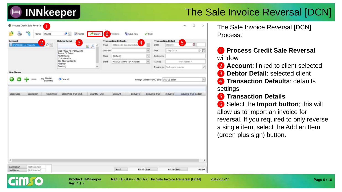# **INNkeeper**

## The Sale Invoice Reversal [DCN]

| <b>Account</b>                                                        | <b>Debtor Detail</b>                    |          | <b>Transaction Defaults</b> |                |                | <b>Transaction Detail</b>                   |                                |                       |                      |
|-----------------------------------------------------------------------|-----------------------------------------|----------|-----------------------------|----------------|----------------|---------------------------------------------|--------------------------------|-----------------------|----------------------|
| $\overline{2}$<br>$\mathcal{D}[\mathbf{v}]$<br>[ [4298386] Ms M Weste | 3<br>$\sim$<br>P<br>园                   | Type     | DCN Credit Sale Cancellatio | $\overline{4}$ |                | Date:                                       | [Today]                        | 5                     | Ø                    |
|                                                                       | WEST0003 / STMBRC2105                   | Location |                             |                | $\omega$       | Due                                         | 2 Sep 2019                     |                       | 少食                   |
|                                                                       | Rayne Of Talent<br>Ms M Weste           | Store    | [Default]                   |                | $\checkmark$   | Reference                                   |                                |                       |                      |
|                                                                       | 13 Azailea Str<br>Old Alberton North    | Staff    | MAST001S MASTER MASTER      |                | $\mathbf{v}$   | TXN No                                      |                                | <not posted=""></not> |                      |
|                                                                       | Aberton<br>Gauteng<br>v                 |          |                             |                |                |                                             | Invoice No   No Imvoice Number |                       | V                    |
| Line Items                                                            |                                         |          |                             |                |                |                                             |                                |                       |                      |
|                                                                       |                                         |          |                             |                |                |                                             |                                |                       |                      |
| Wedge<br>Scanning<br>m                                                | Clear All                               |          |                             |                |                | Foreign Currency (FC) Edits   USD US dollar |                                |                       | $\sim$               |
| Description<br>Stock Price                                            | Stock Price (FC) Incl.<br>Quantity Unit |          | Discount                    | Exdusive       | Exclusive (FC) |                                             | <b>Indusive</b>                |                       | Indusive (FC) Ledger |
|                                                                       |                                         |          |                             |                |                |                                             |                                |                       |                      |
|                                                                       |                                         |          |                             |                |                |                                             |                                |                       |                      |
|                                                                       |                                         |          |                             |                |                |                                             |                                |                       |                      |
| Stock Code                                                            |                                         |          |                             |                |                |                                             |                                |                       |                      |

The Sale Invoice Reversal [DCN] Process:

❶ **Process Credit Sale Reversal**  window

❷ **Account**: linked to client selected

❸ **Debtor Detail**: selected client

**4 Transaction Defaults**: defaults settings

#### ❺ **Transaction Details**

❻ Select the **Import button**; this will allow us to import an invoice for reversal. If you required to only reverse a single item, select the Add an Item (green plus sign) button.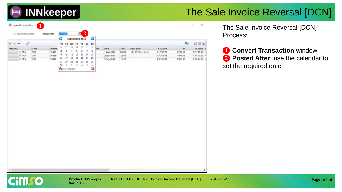| O<br>$\odot$<br>September 2019<br>雟<br>€<br>Mo Tu We Th Fr Sa Su<br>26<br>27<br>28 29<br>$10 - 31$<br>$\overline{1}$<br>iber<br>Code<br>Number<br>Date<br>Time<br>Description<br>Exdusive<br>Tax<br>$\boldsymbol{6}$<br>5<br>$\overline{z}$<br>з<br>4<br>a<br>2<br>10434<br>1 Aug 2019<br>1 to 30 Days, as at<br>R1997.78<br>R299.67<br>E-TRX<br>DIN<br>00:00<br>$10$ $11$ $12$ $13$<br>14<br>15<br>9<br>10436<br>R3 353.04<br><b>E TRX</b><br>DIN<br>2 Sep 2019<br>13:05<br>R502.96<br>20<br>17 18 19<br>21<br>22<br>16<br>10437<br>ill TRX<br>DIN<br>2 Sep 2019<br>R3 353.04<br>R502.96<br>13:20<br>23 24 25 26<br>27<br>28<br>29<br>$\mathbb{R}$<br>$\overline{z}$<br>$\overline{5}$<br>30<br>$-4$<br>$\overline{5}$<br>$\mathbf{1}$<br>×<br><b>O</b> Current Date |  |  |  | <b>WN&amp;</b><br>Indusive S<br>R2 297.45 h<br>R3856.00 M<br>R3856.00 M |  | $\checkmark$<br>Selected |  |  |
|-----------------------------------------------------------------------------------------------------------------------------------------------------------------------------------------------------------------------------------------------------------------------------------------------------------------------------------------------------------------------------------------------------------------------------------------------------------------------------------------------------------------------------------------------------------------------------------------------------------------------------------------------------------------------------------------------------------------------------------------------------------------------|--|--|--|-------------------------------------------------------------------------|--|--------------------------|--|--|
|                                                                                                                                                                                                                                                                                                                                                                                                                                                                                                                                                                                                                                                                                                                                                                       |  |  |  |                                                                         |  |                          |  |  |
|                                                                                                                                                                                                                                                                                                                                                                                                                                                                                                                                                                                                                                                                                                                                                                       |  |  |  |                                                                         |  |                          |  |  |
|                                                                                                                                                                                                                                                                                                                                                                                                                                                                                                                                                                                                                                                                                                                                                                       |  |  |  |                                                                         |  |                          |  |  |
|                                                                                                                                                                                                                                                                                                                                                                                                                                                                                                                                                                                                                                                                                                                                                                       |  |  |  |                                                                         |  |                          |  |  |
|                                                                                                                                                                                                                                                                                                                                                                                                                                                                                                                                                                                                                                                                                                                                                                       |  |  |  |                                                                         |  |                          |  |  |
|                                                                                                                                                                                                                                                                                                                                                                                                                                                                                                                                                                                                                                                                                                                                                                       |  |  |  |                                                                         |  |                          |  |  |
|                                                                                                                                                                                                                                                                                                                                                                                                                                                                                                                                                                                                                                                                                                                                                                       |  |  |  |                                                                         |  |                          |  |  |
|                                                                                                                                                                                                                                                                                                                                                                                                                                                                                                                                                                                                                                                                                                                                                                       |  |  |  |                                                                         |  |                          |  |  |
|                                                                                                                                                                                                                                                                                                                                                                                                                                                                                                                                                                                                                                                                                                                                                                       |  |  |  |                                                                         |  |                          |  |  |
|                                                                                                                                                                                                                                                                                                                                                                                                                                                                                                                                                                                                                                                                                                                                                                       |  |  |  |                                                                         |  |                          |  |  |
|                                                                                                                                                                                                                                                                                                                                                                                                                                                                                                                                                                                                                                                                                                                                                                       |  |  |  |                                                                         |  |                          |  |  |
|                                                                                                                                                                                                                                                                                                                                                                                                                                                                                                                                                                                                                                                                                                                                                                       |  |  |  |                                                                         |  |                          |  |  |
|                                                                                                                                                                                                                                                                                                                                                                                                                                                                                                                                                                                                                                                                                                                                                                       |  |  |  |                                                                         |  |                          |  |  |
|                                                                                                                                                                                                                                                                                                                                                                                                                                                                                                                                                                                                                                                                                                                                                                       |  |  |  |                                                                         |  |                          |  |  |
|                                                                                                                                                                                                                                                                                                                                                                                                                                                                                                                                                                                                                                                                                                                                                                       |  |  |  |                                                                         |  |                          |  |  |
|                                                                                                                                                                                                                                                                                                                                                                                                                                                                                                                                                                                                                                                                                                                                                                       |  |  |  |                                                                         |  |                          |  |  |
|                                                                                                                                                                                                                                                                                                                                                                                                                                                                                                                                                                                                                                                                                                                                                                       |  |  |  |                                                                         |  |                          |  |  |
|                                                                                                                                                                                                                                                                                                                                                                                                                                                                                                                                                                                                                                                                                                                                                                       |  |  |  |                                                                         |  |                          |  |  |
|                                                                                                                                                                                                                                                                                                                                                                                                                                                                                                                                                                                                                                                                                                                                                                       |  |  |  |                                                                         |  |                          |  |  |
|                                                                                                                                                                                                                                                                                                                                                                                                                                                                                                                                                                                                                                                                                                                                                                       |  |  |  |                                                                         |  |                          |  |  |
|                                                                                                                                                                                                                                                                                                                                                                                                                                                                                                                                                                                                                                                                                                                                                                       |  |  |  |                                                                         |  |                          |  |  |
|                                                                                                                                                                                                                                                                                                                                                                                                                                                                                                                                                                                                                                                                                                                                                                       |  |  |  |                                                                         |  |                          |  |  |
|                                                                                                                                                                                                                                                                                                                                                                                                                                                                                                                                                                                                                                                                                                                                                                       |  |  |  |                                                                         |  |                          |  |  |
|                                                                                                                                                                                                                                                                                                                                                                                                                                                                                                                                                                                                                                                                                                                                                                       |  |  |  |                                                                         |  |                          |  |  |
|                                                                                                                                                                                                                                                                                                                                                                                                                                                                                                                                                                                                                                                                                                                                                                       |  |  |  |                                                                         |  |                          |  |  |
|                                                                                                                                                                                                                                                                                                                                                                                                                                                                                                                                                                                                                                                                                                                                                                       |  |  |  |                                                                         |  |                          |  |  |
|                                                                                                                                                                                                                                                                                                                                                                                                                                                                                                                                                                                                                                                                                                                                                                       |  |  |  |                                                                         |  |                          |  |  |
|                                                                                                                                                                                                                                                                                                                                                                                                                                                                                                                                                                                                                                                                                                                                                                       |  |  |  |                                                                         |  |                          |  |  |
|                                                                                                                                                                                                                                                                                                                                                                                                                                                                                                                                                                                                                                                                                                                                                                       |  |  |  |                                                                         |  |                          |  |  |
|                                                                                                                                                                                                                                                                                                                                                                                                                                                                                                                                                                                                                                                                                                                                                                       |  |  |  |                                                                         |  |                          |  |  |
|                                                                                                                                                                                                                                                                                                                                                                                                                                                                                                                                                                                                                                                                                                                                                                       |  |  |  |                                                                         |  |                          |  |  |
|                                                                                                                                                                                                                                                                                                                                                                                                                                                                                                                                                                                                                                                                                                                                                                       |  |  |  |                                                                         |  |                          |  |  |
|                                                                                                                                                                                                                                                                                                                                                                                                                                                                                                                                                                                                                                                                                                                                                                       |  |  |  |                                                                         |  |                          |  |  |
|                                                                                                                                                                                                                                                                                                                                                                                                                                                                                                                                                                                                                                                                                                                                                                       |  |  |  |                                                                         |  |                          |  |  |
|                                                                                                                                                                                                                                                                                                                                                                                                                                                                                                                                                                                                                                                                                                                                                                       |  |  |  |                                                                         |  |                          |  |  |
|                                                                                                                                                                                                                                                                                                                                                                                                                                                                                                                                                                                                                                                                                                                                                                       |  |  |  |                                                                         |  |                          |  |  |
|                                                                                                                                                                                                                                                                                                                                                                                                                                                                                                                                                                                                                                                                                                                                                                       |  |  |  |                                                                         |  |                          |  |  |
|                                                                                                                                                                                                                                                                                                                                                                                                                                                                                                                                                                                                                                                                                                                                                                       |  |  |  |                                                                         |  |                          |  |  |
|                                                                                                                                                                                                                                                                                                                                                                                                                                                                                                                                                                                                                                                                                                                                                                       |  |  |  |                                                                         |  |                          |  |  |
|                                                                                                                                                                                                                                                                                                                                                                                                                                                                                                                                                                                                                                                                                                                                                                       |  |  |  |                                                                         |  |                          |  |  |
|                                                                                                                                                                                                                                                                                                                                                                                                                                                                                                                                                                                                                                                                                                                                                                       |  |  |  |                                                                         |  |                          |  |  |
|                                                                                                                                                                                                                                                                                                                                                                                                                                                                                                                                                                                                                                                                                                                                                                       |  |  |  |                                                                         |  |                          |  |  |
|                                                                                                                                                                                                                                                                                                                                                                                                                                                                                                                                                                                                                                                                                                                                                                       |  |  |  |                                                                         |  |                          |  |  |
|                                                                                                                                                                                                                                                                                                                                                                                                                                                                                                                                                                                                                                                                                                                                                                       |  |  |  |                                                                         |  |                          |  |  |
|                                                                                                                                                                                                                                                                                                                                                                                                                                                                                                                                                                                                                                                                                                                                                                       |  |  |  |                                                                         |  |                          |  |  |
|                                                                                                                                                                                                                                                                                                                                                                                                                                                                                                                                                                                                                                                                                                                                                                       |  |  |  |                                                                         |  |                          |  |  |
|                                                                                                                                                                                                                                                                                                                                                                                                                                                                                                                                                                                                                                                                                                                                                                       |  |  |  |                                                                         |  |                          |  |  |
|                                                                                                                                                                                                                                                                                                                                                                                                                                                                                                                                                                                                                                                                                                                                                                       |  |  |  |                                                                         |  |                          |  |  |
|                                                                                                                                                                                                                                                                                                                                                                                                                                                                                                                                                                                                                                                                                                                                                                       |  |  |  |                                                                         |  |                          |  |  |
|                                                                                                                                                                                                                                                                                                                                                                                                                                                                                                                                                                                                                                                                                                                                                                       |  |  |  |                                                                         |  |                          |  |  |
|                                                                                                                                                                                                                                                                                                                                                                                                                                                                                                                                                                                                                                                                                                                                                                       |  |  |  |                                                                         |  |                          |  |  |
|                                                                                                                                                                                                                                                                                                                                                                                                                                                                                                                                                                                                                                                                                                                                                                       |  |  |  |                                                                         |  |                          |  |  |
|                                                                                                                                                                                                                                                                                                                                                                                                                                                                                                                                                                                                                                                                                                                                                                       |  |  |  |                                                                         |  |                          |  |  |
|                                                                                                                                                                                                                                                                                                                                                                                                                                                                                                                                                                                                                                                                                                                                                                       |  |  |  |                                                                         |  |                          |  |  |
|                                                                                                                                                                                                                                                                                                                                                                                                                                                                                                                                                                                                                                                                                                                                                                       |  |  |  |                                                                         |  |                          |  |  |
|                                                                                                                                                                                                                                                                                                                                                                                                                                                                                                                                                                                                                                                                                                                                                                       |  |  |  |                                                                         |  |                          |  |  |
|                                                                                                                                                                                                                                                                                                                                                                                                                                                                                                                                                                                                                                                                                                                                                                       |  |  |  |                                                                         |  |                          |  |  |
|                                                                                                                                                                                                                                                                                                                                                                                                                                                                                                                                                                                                                                                                                                                                                                       |  |  |  |                                                                         |  |                          |  |  |
|                                                                                                                                                                                                                                                                                                                                                                                                                                                                                                                                                                                                                                                                                                                                                                       |  |  |  |                                                                         |  |                          |  |  |
|                                                                                                                                                                                                                                                                                                                                                                                                                                                                                                                                                                                                                                                                                                                                                                       |  |  |  |                                                                         |  |                          |  |  |
|                                                                                                                                                                                                                                                                                                                                                                                                                                                                                                                                                                                                                                                                                                                                                                       |  |  |  |                                                                         |  |                          |  |  |
|                                                                                                                                                                                                                                                                                                                                                                                                                                                                                                                                                                                                                                                                                                                                                                       |  |  |  |                                                                         |  |                          |  |  |
|                                                                                                                                                                                                                                                                                                                                                                                                                                                                                                                                                                                                                                                                                                                                                                       |  |  |  |                                                                         |  |                          |  |  |
|                                                                                                                                                                                                                                                                                                                                                                                                                                                                                                                                                                                                                                                                                                                                                                       |  |  |  |                                                                         |  |                          |  |  |
|                                                                                                                                                                                                                                                                                                                                                                                                                                                                                                                                                                                                                                                                                                                                                                       |  |  |  |                                                                         |  |                          |  |  |
|                                                                                                                                                                                                                                                                                                                                                                                                                                                                                                                                                                                                                                                                                                                                                                       |  |  |  |                                                                         |  |                          |  |  |
|                                                                                                                                                                                                                                                                                                                                                                                                                                                                                                                                                                                                                                                                                                                                                                       |  |  |  |                                                                         |  |                          |  |  |
|                                                                                                                                                                                                                                                                                                                                                                                                                                                                                                                                                                                                                                                                                                                                                                       |  |  |  |                                                                         |  |                          |  |  |
|                                                                                                                                                                                                                                                                                                                                                                                                                                                                                                                                                                                                                                                                                                                                                                       |  |  |  |                                                                         |  |                          |  |  |
|                                                                                                                                                                                                                                                                                                                                                                                                                                                                                                                                                                                                                                                                                                                                                                       |  |  |  |                                                                         |  |                          |  |  |
|                                                                                                                                                                                                                                                                                                                                                                                                                                                                                                                                                                                                                                                                                                                                                                       |  |  |  |                                                                         |  |                          |  |  |
|                                                                                                                                                                                                                                                                                                                                                                                                                                                                                                                                                                                                                                                                                                                                                                       |  |  |  |                                                                         |  |                          |  |  |
|                                                                                                                                                                                                                                                                                                                                                                                                                                                                                                                                                                                                                                                                                                                                                                       |  |  |  |                                                                         |  |                          |  |  |
|                                                                                                                                                                                                                                                                                                                                                                                                                                                                                                                                                                                                                                                                                                                                                                       |  |  |  |                                                                         |  |                          |  |  |
|                                                                                                                                                                                                                                                                                                                                                                                                                                                                                                                                                                                                                                                                                                                                                                       |  |  |  |                                                                         |  |                          |  |  |
|                                                                                                                                                                                                                                                                                                                                                                                                                                                                                                                                                                                                                                                                                                                                                                       |  |  |  |                                                                         |  |                          |  |  |
|                                                                                                                                                                                                                                                                                                                                                                                                                                                                                                                                                                                                                                                                                                                                                                       |  |  |  |                                                                         |  |                          |  |  |
|                                                                                                                                                                                                                                                                                                                                                                                                                                                                                                                                                                                                                                                                                                                                                                       |  |  |  |                                                                         |  |                          |  |  |
|                                                                                                                                                                                                                                                                                                                                                                                                                                                                                                                                                                                                                                                                                                                                                                       |  |  |  |                                                                         |  |                          |  |  |
|                                                                                                                                                                                                                                                                                                                                                                                                                                                                                                                                                                                                                                                                                                                                                                       |  |  |  |                                                                         |  |                          |  |  |
|                                                                                                                                                                                                                                                                                                                                                                                                                                                                                                                                                                                                                                                                                                                                                                       |  |  |  |                                                                         |  |                          |  |  |
|                                                                                                                                                                                                                                                                                                                                                                                                                                                                                                                                                                                                                                                                                                                                                                       |  |  |  |                                                                         |  |                          |  |  |
|                                                                                                                                                                                                                                                                                                                                                                                                                                                                                                                                                                                                                                                                                                                                                                       |  |  |  |                                                                         |  |                          |  |  |
|                                                                                                                                                                                                                                                                                                                                                                                                                                                                                                                                                                                                                                                                                                                                                                       |  |  |  |                                                                         |  |                          |  |  |
|                                                                                                                                                                                                                                                                                                                                                                                                                                                                                                                                                                                                                                                                                                                                                                       |  |  |  |                                                                         |  |                          |  |  |
|                                                                                                                                                                                                                                                                                                                                                                                                                                                                                                                                                                                                                                                                                                                                                                       |  |  |  |                                                                         |  |                          |  |  |
|                                                                                                                                                                                                                                                                                                                                                                                                                                                                                                                                                                                                                                                                                                                                                                       |  |  |  |                                                                         |  |                          |  |  |
|                                                                                                                                                                                                                                                                                                                                                                                                                                                                                                                                                                                                                                                                                                                                                                       |  |  |  |                                                                         |  |                          |  |  |
|                                                                                                                                                                                                                                                                                                                                                                                                                                                                                                                                                                                                                                                                                                                                                                       |  |  |  |                                                                         |  |                          |  |  |
|                                                                                                                                                                                                                                                                                                                                                                                                                                                                                                                                                                                                                                                                                                                                                                       |  |  |  |                                                                         |  |                          |  |  |
|                                                                                                                                                                                                                                                                                                                                                                                                                                                                                                                                                                                                                                                                                                                                                                       |  |  |  |                                                                         |  |                          |  |  |
|                                                                                                                                                                                                                                                                                                                                                                                                                                                                                                                                                                                                                                                                                                                                                                       |  |  |  |                                                                         |  |                          |  |  |
|                                                                                                                                                                                                                                                                                                                                                                                                                                                                                                                                                                                                                                                                                                                                                                       |  |  |  |                                                                         |  |                          |  |  |
|                                                                                                                                                                                                                                                                                                                                                                                                                                                                                                                                                                                                                                                                                                                                                                       |  |  |  |                                                                         |  |                          |  |  |
|                                                                                                                                                                                                                                                                                                                                                                                                                                                                                                                                                                                                                                                                                                                                                                       |  |  |  |                                                                         |  |                          |  |  |
|                                                                                                                                                                                                                                                                                                                                                                                                                                                                                                                                                                                                                                                                                                                                                                       |  |  |  |                                                                         |  |                          |  |  |
|                                                                                                                                                                                                                                                                                                                                                                                                                                                                                                                                                                                                                                                                                                                                                                       |  |  |  |                                                                         |  |                          |  |  |
|                                                                                                                                                                                                                                                                                                                                                                                                                                                                                                                                                                                                                                                                                                                                                                       |  |  |  |                                                                         |  |                          |  |  |
|                                                                                                                                                                                                                                                                                                                                                                                                                                                                                                                                                                                                                                                                                                                                                                       |  |  |  |                                                                         |  |                          |  |  |
|                                                                                                                                                                                                                                                                                                                                                                                                                                                                                                                                                                                                                                                                                                                                                                       |  |  |  |                                                                         |  |                          |  |  |
|                                                                                                                                                                                                                                                                                                                                                                                                                                                                                                                                                                                                                                                                                                                                                                       |  |  |  |                                                                         |  |                          |  |  |
|                                                                                                                                                                                                                                                                                                                                                                                                                                                                                                                                                                                                                                                                                                                                                                       |  |  |  |                                                                         |  |                          |  |  |
|                                                                                                                                                                                                                                                                                                                                                                                                                                                                                                                                                                                                                                                                                                                                                                       |  |  |  |                                                                         |  |                          |  |  |
|                                                                                                                                                                                                                                                                                                                                                                                                                                                                                                                                                                                                                                                                                                                                                                       |  |  |  |                                                                         |  |                          |  |  |
|                                                                                                                                                                                                                                                                                                                                                                                                                                                                                                                                                                                                                                                                                                                                                                       |  |  |  |                                                                         |  |                          |  |  |
|                                                                                                                                                                                                                                                                                                                                                                                                                                                                                                                                                                                                                                                                                                                                                                       |  |  |  |                                                                         |  |                          |  |  |
|                                                                                                                                                                                                                                                                                                                                                                                                                                                                                                                                                                                                                                                                                                                                                                       |  |  |  |                                                                         |  |                          |  |  |
|                                                                                                                                                                                                                                                                                                                                                                                                                                                                                                                                                                                                                                                                                                                                                                       |  |  |  |                                                                         |  |                          |  |  |
|                                                                                                                                                                                                                                                                                                                                                                                                                                                                                                                                                                                                                                                                                                                                                                       |  |  |  |                                                                         |  |                          |  |  |
|                                                                                                                                                                                                                                                                                                                                                                                                                                                                                                                                                                                                                                                                                                                                                                       |  |  |  |                                                                         |  |                          |  |  |
|                                                                                                                                                                                                                                                                                                                                                                                                                                                                                                                                                                                                                                                                                                                                                                       |  |  |  |                                                                         |  |                          |  |  |
|                                                                                                                                                                                                                                                                                                                                                                                                                                                                                                                                                                                                                                                                                                                                                                       |  |  |  |                                                                         |  |                          |  |  |
|                                                                                                                                                                                                                                                                                                                                                                                                                                                                                                                                                                                                                                                                                                                                                                       |  |  |  |                                                                         |  |                          |  |  |
|                                                                                                                                                                                                                                                                                                                                                                                                                                                                                                                                                                                                                                                                                                                                                                       |  |  |  |                                                                         |  |                          |  |  |
|                                                                                                                                                                                                                                                                                                                                                                                                                                                                                                                                                                                                                                                                                                                                                                       |  |  |  |                                                                         |  |                          |  |  |
|                                                                                                                                                                                                                                                                                                                                                                                                                                                                                                                                                                                                                                                                                                                                                                       |  |  |  |                                                                         |  |                          |  |  |
|                                                                                                                                                                                                                                                                                                                                                                                                                                                                                                                                                                                                                                                                                                                                                                       |  |  |  |                                                                         |  |                          |  |  |
|                                                                                                                                                                                                                                                                                                                                                                                                                                                                                                                                                                                                                                                                                                                                                                       |  |  |  |                                                                         |  |                          |  |  |
|                                                                                                                                                                                                                                                                                                                                                                                                                                                                                                                                                                                                                                                                                                                                                                       |  |  |  |                                                                         |  |                          |  |  |
|                                                                                                                                                                                                                                                                                                                                                                                                                                                                                                                                                                                                                                                                                                                                                                       |  |  |  |                                                                         |  |                          |  |  |
|                                                                                                                                                                                                                                                                                                                                                                                                                                                                                                                                                                                                                                                                                                                                                                       |  |  |  |                                                                         |  |                          |  |  |
|                                                                                                                                                                                                                                                                                                                                                                                                                                                                                                                                                                                                                                                                                                                                                                       |  |  |  |                                                                         |  |                          |  |  |
|                                                                                                                                                                                                                                                                                                                                                                                                                                                                                                                                                                                                                                                                                                                                                                       |  |  |  |                                                                         |  |                          |  |  |
|                                                                                                                                                                                                                                                                                                                                                                                                                                                                                                                                                                                                                                                                                                                                                                       |  |  |  |                                                                         |  |                          |  |  |
|                                                                                                                                                                                                                                                                                                                                                                                                                                                                                                                                                                                                                                                                                                                                                                       |  |  |  |                                                                         |  |                          |  |  |
|                                                                                                                                                                                                                                                                                                                                                                                                                                                                                                                                                                                                                                                                                                                                                                       |  |  |  |                                                                         |  |                          |  |  |

**Ver**: 4.1.7

**Cimro** 

**INNkeeper** 

**Product: INNkeeper Ref: TD-SOP-FDRTRX The Sale Invoice Reversal [DCN] 2019-11-27** 

The Sale Invoice Reversal [DCN] Process:

❶ **Convert Transaction** window ❷ **Posted After**: use the calendar to set the required date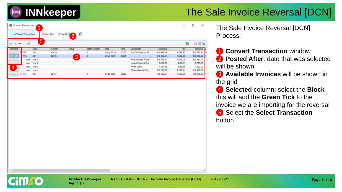| ⊛              | Convert Transaction | и          |               |                                    |              |            |       |                     |           | π       | □         | ×          |
|----------------|---------------------|------------|---------------|------------------------------------|--------------|------------|-------|---------------------|-----------|---------|-----------|------------|
|                | Select Transaction  |            | Posted After  | o<br>2 Sep 2019<br>$\sqrt{2}$<br>▵ |              |            |       |                     |           |         |           |            |
| $\sim$ $-$     |                     | 5          |               |                                    |              |            |       |                     |           | 龝       |           | $A \cup B$ |
| Selected       |                     | Code       | <b>Number</b> | Group                              | Batch Number | Date       | Time  | Description         | Exdusive  | Tax     |           | Industve   |
|                | TRX                 | DIN        | 10434         |                                    | σ            | 1 Aug 2019 | 00:00 | 1 to 30 Days, as at | R1997.78  | R299.67 | R2 297.45 |            |
| <b>AND</b>     | TRX                 | <b>DIN</b> | 10436         | 3                                  | ٥            | 2 Sep 2019 | 13:05 |                     | R3 353.04 | R502.96 | R3856.00  |            |
|                | Line:               | Line 1     |               |                                    |              |            |       | Meat & Salad Platte | R1373.91  | R206.09 | R1580.00  |            |
|                | Line                | Line 2     |               |                                    |              |            |       | Lamb Combo & Chip   | R657.39   | R98.61  |           | R756.00    |
| $\overline{4}$ | Line                | Line 3     |               |                                    |              |            |       | 440ml Cake          | R104.35   | R15.65  |           | R120.00    |
|                | Line                | Line 4     |               |                                    |              |            |       | Chaira Beads (Sing  | R1217.39  | R182.61 | R1 400.00 |            |
|                | ED-TRX              | DIN        | 10437         |                                    | ō            | 2 Sep 2019 | 13:20 |                     | R3 353.04 | R502.96 | R3856.00  |            |

The Sale Invoice Reversal [DCN] Process:

**1 Convert Transaction** window ❷ **Posted After**: date that was selected will be shown

❸ **Available Invoices** will be shown in the grid

❹ **Selected** column: select the **Block** this will add the **Green Tick** to the invoice we are importing for the reversal ❺ Select the **Select Transaction**  button

**INNkeeper**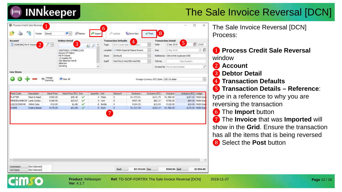# **INNkeeper**

### The Sale Invoice Reversal [DCN]

| 3<br>$\overline{2}$<br>[4298386] Ms M Weste<br>$D -$<br>Date<br>2 Sep 2019<br>DCN Credit Sale Car<br>Type:<br>×<br>国の<br>wher<br>Si: MAIN Imperial Palace Rooms<br>v.<br>Due<br>2 Sep 2019<br>WEST0003 / STMBRC2105<br>Location<br>Rayne Of Talent<br>$\ddot{\phantom{0}}$<br>Ms M Weste<br>[Default]<br>Reference : DIN10436 Duplicate DIN<br>Store<br>13 Azalea Str<br>ų<br>Old Alberton North<br>Staff<br>MASTO01S MASTER MASTER<br>TXN No<br>Alberton<br>Gauteno<br>w.<br>Invoice No   No Invoice Number<br><b>Line Items</b><br>Wedge<br><b>JEOR</b><br>Clear All<br>Foreign Currency (FC) Edits USD US dollar<br>Scanning<br><b>Stock Price</b><br>Stock Price (FC) Incl.<br>Quantity Unit<br>Exclusive (FC)<br><b>Inclusive</b><br><b>Stock Code</b><br><b>Description</b><br><b>Discount</b><br>Exclusive<br>$\circ$<br><b>PLATTER</b><br>Meat & Salad<br>R395.00<br>\$49.38<br>$\checkmark$<br>4 Plate<br>R1373.91<br>R1580.00<br>\$171.74<br>MENDINLAMBCOM Lamb Combo<br>R189.00<br>$\checkmark$<br>0<br>R657.39<br>R756.00<br>\$23.63<br>4 Linit<br>\$82.17<br>R.15.00<br>o<br>R104.35<br>R120.00<br>IOCOCOKE440<br>440ml Coke<br>\$1.88<br>v<br>8 Bottle<br>\$13.04<br>8 Each<br>$\ddot{\mathbf{0}}$<br>CHAKE<br>Chakra Beads<br>R175.00<br>\$21.88<br>v<br>R1217.39<br>\$152.17<br>R1400.00<br>$\overline{7}$ | ü<br>13:05            |               | <b>Transaction Detail</b> |                | <b>Transaction Defaults</b> |  | <b>Debtor Detail</b> |  | Account |
|----------------------------------------------------------------------------------------------------------------------------------------------------------------------------------------------------------------------------------------------------------------------------------------------------------------------------------------------------------------------------------------------------------------------------------------------------------------------------------------------------------------------------------------------------------------------------------------------------------------------------------------------------------------------------------------------------------------------------------------------------------------------------------------------------------------------------------------------------------------------------------------------------------------------------------------------------------------------------------------------------------------------------------------------------------------------------------------------------------------------------------------------------------------------------------------------------------------------------------------------------------------------------------------------------------------------------|-----------------------|---------------|---------------------------|----------------|-----------------------------|--|----------------------|--|---------|
|                                                                                                                                                                                                                                                                                                                                                                                                                                                                                                                                                                                                                                                                                                                                                                                                                                                                                                                                                                                                                                                                                                                                                                                                                                                                                                                            |                       | 5             |                           | $\overline{4}$ |                             |  |                      |  |         |
|                                                                                                                                                                                                                                                                                                                                                                                                                                                                                                                                                                                                                                                                                                                                                                                                                                                                                                                                                                                                                                                                                                                                                                                                                                                                                                                            | 少我                    |               |                           |                |                             |  |                      |  |         |
|                                                                                                                                                                                                                                                                                                                                                                                                                                                                                                                                                                                                                                                                                                                                                                                                                                                                                                                                                                                                                                                                                                                                                                                                                                                                                                                            |                       |               |                           |                |                             |  |                      |  |         |
|                                                                                                                                                                                                                                                                                                                                                                                                                                                                                                                                                                                                                                                                                                                                                                                                                                                                                                                                                                                                                                                                                                                                                                                                                                                                                                                            |                       |               |                           |                |                             |  |                      |  |         |
|                                                                                                                                                                                                                                                                                                                                                                                                                                                                                                                                                                                                                                                                                                                                                                                                                                                                                                                                                                                                                                                                                                                                                                                                                                                                                                                            |                       | chlot Posted> |                           |                |                             |  |                      |  |         |
|                                                                                                                                                                                                                                                                                                                                                                                                                                                                                                                                                                                                                                                                                                                                                                                                                                                                                                                                                                                                                                                                                                                                                                                                                                                                                                                            |                       |               |                           |                |                             |  |                      |  |         |
|                                                                                                                                                                                                                                                                                                                                                                                                                                                                                                                                                                                                                                                                                                                                                                                                                                                                                                                                                                                                                                                                                                                                                                                                                                                                                                                            |                       |               |                           |                |                             |  |                      |  |         |
|                                                                                                                                                                                                                                                                                                                                                                                                                                                                                                                                                                                                                                                                                                                                                                                                                                                                                                                                                                                                                                                                                                                                                                                                                                                                                                                            |                       |               |                           |                |                             |  |                      |  |         |
|                                                                                                                                                                                                                                                                                                                                                                                                                                                                                                                                                                                                                                                                                                                                                                                                                                                                                                                                                                                                                                                                                                                                                                                                                                                                                                                            | $\omega$              |               |                           |                |                             |  |                      |  |         |
|                                                                                                                                                                                                                                                                                                                                                                                                                                                                                                                                                                                                                                                                                                                                                                                                                                                                                                                                                                                                                                                                                                                                                                                                                                                                                                                            |                       |               |                           |                |                             |  |                      |  |         |
|                                                                                                                                                                                                                                                                                                                                                                                                                                                                                                                                                                                                                                                                                                                                                                                                                                                                                                                                                                                                                                                                                                                                                                                                                                                                                                                            |                       |               |                           |                |                             |  |                      |  |         |
|                                                                                                                                                                                                                                                                                                                                                                                                                                                                                                                                                                                                                                                                                                                                                                                                                                                                                                                                                                                                                                                                                                                                                                                                                                                                                                                            |                       |               |                           |                |                             |  |                      |  |         |
|                                                                                                                                                                                                                                                                                                                                                                                                                                                                                                                                                                                                                                                                                                                                                                                                                                                                                                                                                                                                                                                                                                                                                                                                                                                                                                                            | Inclusive (FC) Ledger |               |                           |                |                             |  |                      |  |         |
|                                                                                                                                                                                                                                                                                                                                                                                                                                                                                                                                                                                                                                                                                                                                                                                                                                                                                                                                                                                                                                                                                                                                                                                                                                                                                                                            | \$197.50 MAIN Imp     |               |                           |                |                             |  |                      |  |         |
|                                                                                                                                                                                                                                                                                                                                                                                                                                                                                                                                                                                                                                                                                                                                                                                                                                                                                                                                                                                                                                                                                                                                                                                                                                                                                                                            | \$94.50 MAIN Imp      |               |                           |                |                             |  |                      |  |         |
|                                                                                                                                                                                                                                                                                                                                                                                                                                                                                                                                                                                                                                                                                                                                                                                                                                                                                                                                                                                                                                                                                                                                                                                                                                                                                                                            | \$15.00 MAIN Imp      |               |                           |                |                             |  |                      |  |         |
|                                                                                                                                                                                                                                                                                                                                                                                                                                                                                                                                                                                                                                                                                                                                                                                                                                                                                                                                                                                                                                                                                                                                                                                                                                                                                                                            | \$175.00 MAIN Imp     |               |                           |                |                             |  |                      |  |         |
|                                                                                                                                                                                                                                                                                                                                                                                                                                                                                                                                                                                                                                                                                                                                                                                                                                                                                                                                                                                                                                                                                                                                                                                                                                                                                                                            |                       |               |                           |                |                             |  |                      |  |         |
|                                                                                                                                                                                                                                                                                                                                                                                                                                                                                                                                                                                                                                                                                                                                                                                                                                                                                                                                                                                                                                                                                                                                                                                                                                                                                                                            |                       |               |                           |                |                             |  |                      |  |         |
|                                                                                                                                                                                                                                                                                                                                                                                                                                                                                                                                                                                                                                                                                                                                                                                                                                                                                                                                                                                                                                                                                                                                                                                                                                                                                                                            |                       |               |                           |                |                             |  |                      |  |         |
|                                                                                                                                                                                                                                                                                                                                                                                                                                                                                                                                                                                                                                                                                                                                                                                                                                                                                                                                                                                                                                                                                                                                                                                                                                                                                                                            |                       |               |                           |                |                             |  |                      |  |         |
|                                                                                                                                                                                                                                                                                                                                                                                                                                                                                                                                                                                                                                                                                                                                                                                                                                                                                                                                                                                                                                                                                                                                                                                                                                                                                                                            |                       |               |                           |                |                             |  |                      |  |         |
|                                                                                                                                                                                                                                                                                                                                                                                                                                                                                                                                                                                                                                                                                                                                                                                                                                                                                                                                                                                                                                                                                                                                                                                                                                                                                                                            |                       |               |                           |                |                             |  |                      |  |         |
|                                                                                                                                                                                                                                                                                                                                                                                                                                                                                                                                                                                                                                                                                                                                                                                                                                                                                                                                                                                                                                                                                                                                                                                                                                                                                                                            |                       |               |                           |                |                             |  |                      |  |         |
|                                                                                                                                                                                                                                                                                                                                                                                                                                                                                                                                                                                                                                                                                                                                                                                                                                                                                                                                                                                                                                                                                                                                                                                                                                                                                                                            |                       |               |                           |                |                             |  |                      |  |         |
|                                                                                                                                                                                                                                                                                                                                                                                                                                                                                                                                                                                                                                                                                                                                                                                                                                                                                                                                                                                                                                                                                                                                                                                                                                                                                                                            |                       |               |                           |                |                             |  |                      |  |         |
|                                                                                                                                                                                                                                                                                                                                                                                                                                                                                                                                                                                                                                                                                                                                                                                                                                                                                                                                                                                                                                                                                                                                                                                                                                                                                                                            |                       |               |                           |                |                             |  |                      |  |         |
|                                                                                                                                                                                                                                                                                                                                                                                                                                                                                                                                                                                                                                                                                                                                                                                                                                                                                                                                                                                                                                                                                                                                                                                                                                                                                                                            |                       |               |                           |                |                             |  |                      |  |         |
|                                                                                                                                                                                                                                                                                                                                                                                                                                                                                                                                                                                                                                                                                                                                                                                                                                                                                                                                                                                                                                                                                                                                                                                                                                                                                                                            |                       |               |                           |                |                             |  |                      |  |         |
|                                                                                                                                                                                                                                                                                                                                                                                                                                                                                                                                                                                                                                                                                                                                                                                                                                                                                                                                                                                                                                                                                                                                                                                                                                                                                                                            |                       |               |                           |                |                             |  |                      |  |         |
| $\epsilon$                                                                                                                                                                                                                                                                                                                                                                                                                                                                                                                                                                                                                                                                                                                                                                                                                                                                                                                                                                                                                                                                                                                                                                                                                                                                                                                 |                       |               |                           |                |                             |  |                      |  |         |
|                                                                                                                                                                                                                                                                                                                                                                                                                                                                                                                                                                                                                                                                                                                                                                                                                                                                                                                                                                                                                                                                                                                                                                                                                                                                                                                            |                       |               |                           |                |                             |  |                      |  |         |

**Ver**: 4.1.7

**Product**: INNkeeper **Ref**: TD-SOP-FDRTRX The Sale Invoice Reversal [DCN] 2019-11-27

The Sale Invoice Reversal [DCN] Process:

- ❶ **Process Credit Sale Reversal**  window
- ❷ **Account**
- ❸ **Debtor Detail**
- **4** Transaction Defaults
- ❺ **Transaction Details – Reference**:

type in a reference to why you are reversing the transaction

- ❻ The **Import** button
- ❼ The **Invoice** that was **Imported** will show in the **Grid**. Ensure the transaction has all the items that is being reversed **8** Select the **Post** button

**Page** 12 / 16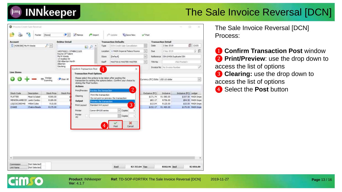

| <b>Account</b>           |                    |                    | <b>Debtor Detail</b>                |                                           |                         |          | <b>Transaction Defaults</b>                                      |                      |                | <b>Transaction Detail</b>         |                       |                    |
|--------------------------|--------------------|--------------------|-------------------------------------|-------------------------------------------|-------------------------|----------|------------------------------------------------------------------|----------------------|----------------|-----------------------------------|-----------------------|--------------------|
| [4298386] Ms M Wester    |                    | $P$ $\vee$         |                                     |                                           | a p                     | Type     | DCN Credit Sale Cancelistion                                     |                      | Date           | 2 Sep 2019                        |                       | 13:05              |
|                          |                    |                    | WEST0003 / STMBRC2105               |                                           |                         | Location | 1/2 MAIN Imperial Palace Rooms                                   | ×                    | Due            | 2 Sep 2019                        |                       | ウ 償                |
|                          |                    |                    | Rayne Of Talent<br>Ms M Weste       |                                           |                         | Store    | (Default)                                                        | v                    | Reference      | DIN10436 Duplicate DIN            |                       |                    |
|                          |                    |                    | 13 Azalea Str<br>Old Alberton North |                                           |                         | Staff    | MASTOO IS MASTER MASTER                                          | $\ddot{\phantom{a}}$ | TXN No         |                                   | <not posted=""></not> |                    |
|                          |                    |                    | Alberton<br>Gauteng                 |                                           |                         |          |                                                                  |                      |                |                                   |                       |                    |
|                          |                    |                    |                                     | Confirm Transaction Post                  |                         |          | $\times$                                                         |                      |                | Invoice No. No Invoice Number     |                       |                    |
| Line Items               |                    |                    |                                     | <b>Transaction Post Options</b>           |                         |          |                                                                  |                      |                |                                   |                       |                    |
|                          |                    | Wedge              |                                     |                                           |                         |          | Please select the actions to be taken after posting the          |                      |                |                                   |                       |                    |
|                          |                    | Scanning           | Clear All                           |                                           |                         |          | transaction by setting the options below. Confirm your choice by |                      |                | Currency (FC) Edits USD US dollar |                       | Ñ,                 |
|                          |                    |                    |                                     | diding the Post button.<br><b>Actions</b> |                         |          |                                                                  |                      |                |                                   |                       |                    |
|                          |                    |                    |                                     | Print/Preview                             | freview the transaction |          | $\overline{2}$                                                   |                      |                |                                   |                       |                    |
| Stock Code               | <b>Description</b> | <b>Stock Price</b> | Stock Price                         |                                           |                         |          |                                                                  |                      | Exclusive (FC) | Indusive                          | Indusive (FC) Ledger  |                    |
| <b>PLATTER</b>           | Meat & Salad       | R395.00            |                                     | Clearing                                  | Print the transaction   |          | Do not print or preview the transaction                          |                      | \$171.74       | R1580.00                          |                       | \$197.50 MAIN Impe |
| MENDINLAMBCOF Lamb Combo |                    | R189.00            |                                     | Output                                    | Preview the transaction |          |                                                                  |                      | \$82.17        | R756.00                           |                       | \$94.50 MAIN Impe  |
| LIQCOCOKE440             | 440ml Coke         | R.15.00            |                                     | Print Layout                              | Standard A4 Layout      |          | 3                                                                |                      | \$13.04        | R120.00                           |                       | \$15.00 MAIN Impe  |
| <b>CHAKE</b>             | Chakra Beads       | R175.00            |                                     |                                           |                         |          |                                                                  |                      | \$152.17       | R1400.00                          |                       | \$175.00 MAIN Impe |
|                          |                    |                    |                                     | Printer                                   | Canon B4100 series      |          | $\vee$ Copies<br>1                                               |                      |                |                                   |                       |                    |
|                          |                    |                    |                                     | Printer<br>#2                             |                         |          | Copies                                                           |                      |                |                                   |                       |                    |
|                          |                    |                    |                                     |                                           |                         |          |                                                                  |                      |                |                                   |                       |                    |
|                          |                    |                    |                                     |                                           |                         |          | ×                                                                |                      |                |                                   |                       |                    |
|                          |                    |                    |                                     |                                           |                         | 47       | Post<br>Cancel                                                   |                      |                |                                   |                       |                    |
|                          |                    |                    |                                     |                                           |                         |          |                                                                  |                      |                |                                   |                       |                    |
|                          |                    |                    |                                     |                                           |                         |          |                                                                  |                      |                |                                   |                       |                    |
|                          |                    |                    |                                     |                                           |                         |          |                                                                  |                      |                |                                   |                       |                    |
|                          |                    |                    |                                     |                                           |                         |          |                                                                  |                      |                |                                   |                       |                    |
|                          |                    |                    |                                     |                                           |                         |          |                                                                  |                      |                |                                   |                       |                    |
|                          |                    |                    |                                     |                                           |                         |          |                                                                  |                      |                |                                   |                       |                    |
|                          |                    |                    |                                     |                                           |                         |          |                                                                  |                      |                |                                   |                       |                    |
|                          |                    |                    |                                     |                                           |                         |          |                                                                  |                      |                |                                   |                       |                    |

The Sale Invoice Reversal [DCN] Process:

**1 Confirm Transaction Post window 2 Print/Preview**: use the drop down to access the list of options **8 Clearing:** use the drop down to access the list of options **4** Select the **Post** button

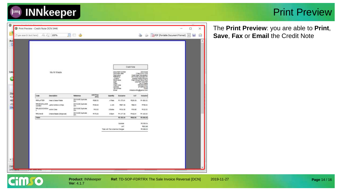

#### Print Preview

| (Type search text here) | 16.14                     |                           |                            |                             |                                  |                                                                                                                                                                        |                |                                                                                                                                                                                                                                                            | DPDF (Portable Document Format) |  |
|-------------------------|---------------------------|---------------------------|----------------------------|-----------------------------|----------------------------------|------------------------------------------------------------------------------------------------------------------------------------------------------------------------|----------------|------------------------------------------------------------------------------------------------------------------------------------------------------------------------------------------------------------------------------------------------------------|---------------------------------|--|
|                         |                           |                           |                            |                             |                                  |                                                                                                                                                                        | Credit Note    |                                                                                                                                                                                                                                                            |                                 |  |
|                         |                           | Ms M Wester               |                            |                             |                                  | Document number<br>Document cate<br>Description<br>Reference<br>Location<br><b>Stock store</b><br>Staff.<br>Cleri<br>Cleri code<br>Member<br>Tax number<br><b>ETMI</b> |                | DCN 5448<br>2 Sep 2019 13:06<br>Creatt Sale Cancellation<br>DIVIDADS DUBICATE DIN<br>Impetal Palace Rooms<br>Prep Kitchen Stock Pool<br><b>MASTER MASTER</b><br><b>UN MY VINNIN</b><br><b>MAVIES70001</b><br>ETMBRC2105<br>12348<br>mikatovrting@junoo.com |                                 |  |
|                         | Code                      | Description               | Raterance                  | <b>Unit Price</b><br>(Inch) | <b>Quantity</b>                  | Exclusive                                                                                                                                                              | VAT            | <b>Inclusive</b>                                                                                                                                                                                                                                           |                                 |  |
|                         | <b>NRPLATTER</b>          | Mest & Salad Platter      | DIVIO436 Duplicate         | R395-00                     | <b>4 Pulle</b>                   | PD STORE                                                                                                                                                               | R208.09        | P1 500.00                                                                                                                                                                                                                                                  |                                 |  |
|                         | <b><i>RRUBICILAUS</i></b> | Lamb Corebs & Chips       | DIN<br>DIVIGATE Dumcate    | R109.00                     | 4.188                            | <b>ROST.39</b>                                                                                                                                                         | 795.61         | PL756.00                                                                                                                                                                                                                                                   |                                 |  |
|                         | COMBO<br>RR_GOODDVE44     | Aabrei Colle              | DIN-<br>DIN1043E Duplicate | <b>R15.00</b>               | 6 Some                           | P104.35                                                                                                                                                                | 7015.85        | M120.00                                                                                                                                                                                                                                                    |                                 |  |
|                         | RROHAS                    | Otakra Beach (Single set) | DIN<br>DIN10436 Duplicate  | A175.00                     | 5 Each                           | R1217.39                                                                                                                                                               | 有限期            | R1400.00                                                                                                                                                                                                                                                   |                                 |  |
|                         | Totala                    |                           | DIN                        |                             |                                  | R1303.04                                                                                                                                                               | <b>R302.36</b> | <b>M3 856.00</b>                                                                                                                                                                                                                                           |                                 |  |
|                         |                           |                           |                            |                             |                                  |                                                                                                                                                                        |                |                                                                                                                                                                                                                                                            |                                 |  |
|                         |                           |                           |                            |                             |                                  | Subtotal<br>VAT                                                                                                                                                        |                | PD 353.04<br>RS02.96                                                                                                                                                                                                                                       |                                 |  |
|                         |                           |                           |                            |                             | Total with Tax & Service Charges |                                                                                                                                                                        |                | PO 886 00                                                                                                                                                                                                                                                  |                                 |  |
|                         |                           |                           |                            |                             |                                  |                                                                                                                                                                        |                |                                                                                                                                                                                                                                                            |                                 |  |
|                         |                           |                           |                            |                             |                                  |                                                                                                                                                                        |                |                                                                                                                                                                                                                                                            |                                 |  |
|                         |                           |                           |                            |                             |                                  |                                                                                                                                                                        |                |                                                                                                                                                                                                                                                            |                                 |  |
|                         |                           |                           |                            |                             |                                  |                                                                                                                                                                        |                |                                                                                                                                                                                                                                                            |                                 |  |
|                         |                           |                           |                            |                             |                                  |                                                                                                                                                                        |                |                                                                                                                                                                                                                                                            |                                 |  |
| <b>IL Anno</b>          |                           |                           |                            |                             |                                  |                                                                                                                                                                        |                |                                                                                                                                                                                                                                                            |                                 |  |

**Product: INNkeeper Ref: TD-SOP-FDRTRX The Sale Invoice Reversal [DCN] 2019-11-27** 

The **Print Preview**: you are able to **Print**, **Save**, **Fax** or **Email** the Credit Note

 $\times$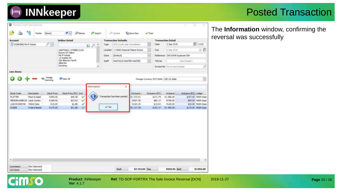#### Posted Transaction

The **Information** window, confirming the reversal was successfully

| [4298386] Ms M Weste<br>$\mathcal{P}[\mathbf{v}]$<br>DOV Credit Sale Cancellation<br>Date<br>2 Sep 2019<br>Type<br>$\mathbb{Z}$ $\circ$<br>12 MAIN Imperial Palace Rooms<br>$\omega$<br>Due<br>2 Sep 2019<br>WEST0003 / STMBRC2105<br>Location<br>Rayne Of Talent<br>×<br>Ms M Weste<br>[Default]<br>Reference DIN10436 Duplicate DIN<br>Store<br>13 Azadea Str<br>Old Alberton North<br>Ÿ<br>Staff<br>TXN No<br>MASTO01S MASTER MASTER<br>Alberton<br>Gauteng<br>v<br>Invoice No No Invoice Number<br><b>Line Items</b><br>Wedge<br>Scanning<br>Clear All<br>1999<br>Foreign Currency (FC) Edits USD US dollar<br>Information<br>×<br><b>Stock Code</b><br>Description<br>Stock Price<br>Stock Price (FC) Incl.<br>Exclusive (FC)<br>Industrie<br>Exclusive<br>Transaction has been posted.<br>R395.00<br>R1373.91<br><b>PLATTER</b><br>Meat & Salad<br>\$49.38<br>\$171.74<br>R1580.00<br>$\checkmark$<br>MENDINLAMBCOP Lamb Combo.<br>R189.00<br>\$23.63<br>R657.39<br>R756.00<br>\$82.17<br>$\checkmark$ | 13:05<br>少国<br>cNot Posted >                |         |         |          |  |        | <b>Debtor Detail</b> |            | Account |
|--------------------------------------------------------------------------------------------------------------------------------------------------------------------------------------------------------------------------------------------------------------------------------------------------------------------------------------------------------------------------------------------------------------------------------------------------------------------------------------------------------------------------------------------------------------------------------------------------------------------------------------------------------------------------------------------------------------------------------------------------------------------------------------------------------------------------------------------------------------------------------------------------------------------------------------------------------------------------------------------------------------|---------------------------------------------|---------|---------|----------|--|--------|----------------------|------------|---------|
|                                                                                                                                                                                                                                                                                                                                                                                                                                                                                                                                                                                                                                                                                                                                                                                                                                                                                                                                                                                                              |                                             |         |         |          |  |        |                      |            |         |
|                                                                                                                                                                                                                                                                                                                                                                                                                                                                                                                                                                                                                                                                                                                                                                                                                                                                                                                                                                                                              |                                             |         |         |          |  |        |                      |            |         |
|                                                                                                                                                                                                                                                                                                                                                                                                                                                                                                                                                                                                                                                                                                                                                                                                                                                                                                                                                                                                              |                                             |         |         |          |  |        |                      |            |         |
|                                                                                                                                                                                                                                                                                                                                                                                                                                                                                                                                                                                                                                                                                                                                                                                                                                                                                                                                                                                                              |                                             |         |         |          |  |        |                      |            |         |
|                                                                                                                                                                                                                                                                                                                                                                                                                                                                                                                                                                                                                                                                                                                                                                                                                                                                                                                                                                                                              |                                             |         |         |          |  |        |                      |            |         |
|                                                                                                                                                                                                                                                                                                                                                                                                                                                                                                                                                                                                                                                                                                                                                                                                                                                                                                                                                                                                              |                                             |         |         |          |  |        |                      |            |         |
|                                                                                                                                                                                                                                                                                                                                                                                                                                                                                                                                                                                                                                                                                                                                                                                                                                                                                                                                                                                                              |                                             |         |         |          |  |        |                      |            |         |
|                                                                                                                                                                                                                                                                                                                                                                                                                                                                                                                                                                                                                                                                                                                                                                                                                                                                                                                                                                                                              |                                             |         |         |          |  |        |                      |            |         |
|                                                                                                                                                                                                                                                                                                                                                                                                                                                                                                                                                                                                                                                                                                                                                                                                                                                                                                                                                                                                              |                                             |         |         |          |  |        |                      |            |         |
|                                                                                                                                                                                                                                                                                                                                                                                                                                                                                                                                                                                                                                                                                                                                                                                                                                                                                                                                                                                                              |                                             |         |         |          |  |        |                      |            |         |
|                                                                                                                                                                                                                                                                                                                                                                                                                                                                                                                                                                                                                                                                                                                                                                                                                                                                                                                                                                                                              |                                             |         |         |          |  |        |                      |            |         |
|                                                                                                                                                                                                                                                                                                                                                                                                                                                                                                                                                                                                                                                                                                                                                                                                                                                                                                                                                                                                              | Inclusive (FC) Ledger<br>\$197.50 MAIN Impe |         |         |          |  |        |                      |            |         |
|                                                                                                                                                                                                                                                                                                                                                                                                                                                                                                                                                                                                                                                                                                                                                                                                                                                                                                                                                                                                              | \$94.50 MAIN Impe                           |         |         |          |  |        |                      |            |         |
| R15.00<br>LIQCOCOKE440<br>v                                                                                                                                                                                                                                                                                                                                                                                                                                                                                                                                                                                                                                                                                                                                                                                                                                                                                                                                                                                  | \$15.00 MAIN Impe                           | R120.00 | \$13.04 | R.104.35 |  | \$1.88 |                      | 440ml Coke |         |
| $V$ OK<br>CHAKE<br>R175.00<br>\$21.88<br>R1217.39<br>R1400.00<br>Chakra Beads<br>\$152.17                                                                                                                                                                                                                                                                                                                                                                                                                                                                                                                                                                                                                                                                                                                                                                                                                                                                                                                    | \$175.00 MAIN Impe                          |         |         |          |  |        |                      |            |         |
|                                                                                                                                                                                                                                                                                                                                                                                                                                                                                                                                                                                                                                                                                                                                                                                                                                                                                                                                                                                                              |                                             |         |         |          |  |        |                      |            |         |

**INNkeeper** 

 $\blacksquare$ 

**Ver**: 4.1.7

**Product: INNkeeper Ref: TD-SOP-FDRTRX The Sale Invoice Reversal [DCN] 2019-11-27**